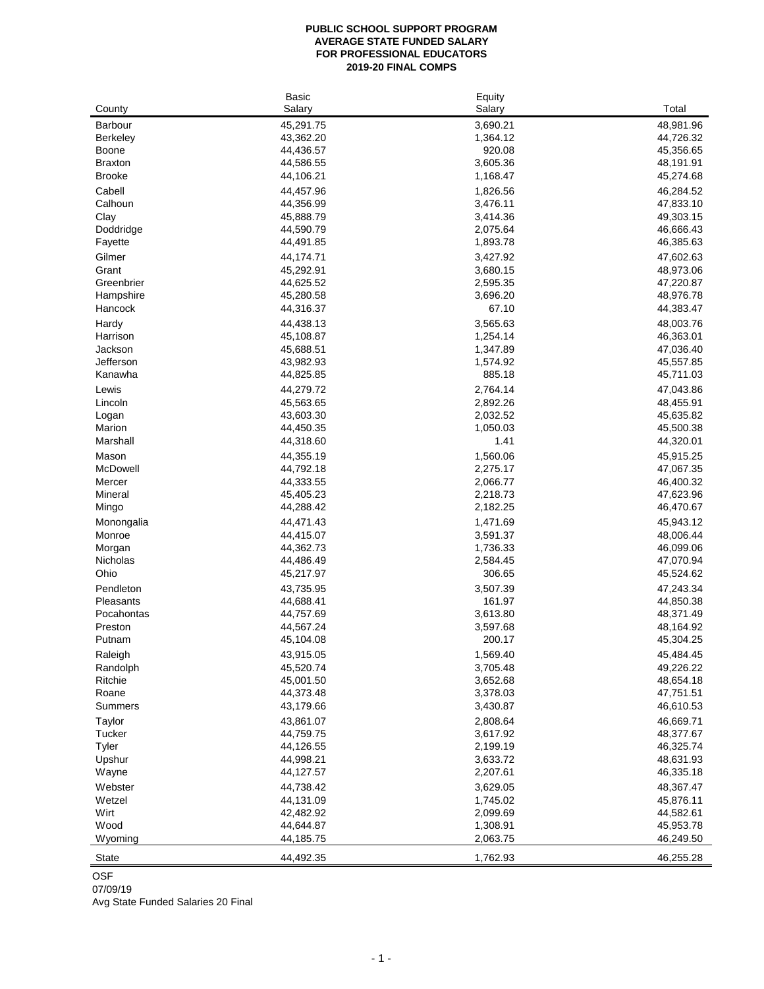# **PUBLIC SCHOOL SUPPORT PROGRAM AVERAGE STATE FUNDED SALARY FOR PROFESSIONAL EDUCATORS 2019-20 FINAL COMPS**

| Salary<br>Salary<br>County<br>3,690.21<br><b>Barbour</b><br>45,291.75<br>43,362.20<br>1,364.12<br><b>Berkeley</b><br>920.08<br>44,436.57<br><b>Boone</b> | Total<br>48,981.96<br>44,726.32<br>45,356.65<br>48,191.91 |
|----------------------------------------------------------------------------------------------------------------------------------------------------------|-----------------------------------------------------------|
|                                                                                                                                                          |                                                           |
|                                                                                                                                                          |                                                           |
|                                                                                                                                                          |                                                           |
|                                                                                                                                                          |                                                           |
| 44,586.55<br>3,605.36<br><b>Braxton</b>                                                                                                                  |                                                           |
| <b>Brooke</b><br>44,106.21<br>1,168.47                                                                                                                   | 45,274.68                                                 |
| Cabell<br>44,457.96<br>1,826.56                                                                                                                          | 46,284.52                                                 |
| Calhoun<br>44,356.99<br>3,476.11                                                                                                                         | 47,833.10                                                 |
| Clay<br>45,888.79<br>3,414.36                                                                                                                            | 49,303.15                                                 |
| 44,590.79<br>Doddridge<br>2,075.64                                                                                                                       | 46,666.43                                                 |
| 44,491.85<br>1,893.78<br>Fayette                                                                                                                         | 46,385.63                                                 |
| Gilmer<br>3,427.92<br>44,174.71                                                                                                                          | 47,602.63                                                 |
| 45,292.91<br>3,680.15<br>Grant                                                                                                                           | 48,973.06                                                 |
| 2,595.35<br>Greenbrier<br>44,625.52                                                                                                                      | 47,220.87                                                 |
| 45,280.58<br>3,696.20<br>Hampshire                                                                                                                       | 48,976.78                                                 |
| 67.10<br>Hancock<br>44,316.37                                                                                                                            | 44,383.47                                                 |
| 44,438.13<br>3,565.63<br>Hardy                                                                                                                           | 48,003.76                                                 |
| 45,108.87<br>1,254.14<br>Harrison                                                                                                                        | 46,363.01                                                 |
| Jackson<br>45,688.51<br>1,347.89                                                                                                                         | 47,036.40                                                 |
| Jefferson<br>43,982.93<br>1,574.92                                                                                                                       | 45,557.85                                                 |
| 885.18<br>Kanawha<br>44,825.85                                                                                                                           | 45,711.03                                                 |
| 2,764.14<br>Lewis<br>44,279.72                                                                                                                           | 47,043.86                                                 |
| 45,563.65<br>2,892.26<br>Lincoln                                                                                                                         | 48,455.91                                                 |
| 43,603.30<br>2,032.52<br>Logan                                                                                                                           | 45,635.82                                                 |
| 1,050.03<br>Marion<br>44,450.35                                                                                                                          | 45,500.38                                                 |
| Marshall<br>44,318.60<br>1.41                                                                                                                            | 44,320.01                                                 |
| 1,560.06<br>Mason<br>44,355.19                                                                                                                           | 45,915.25                                                 |
| McDowell<br>44,792.18<br>2,275.17                                                                                                                        | 47,067.35                                                 |
| 44,333.55<br>2,066.77<br>Mercer                                                                                                                          | 46,400.32                                                 |
| Mineral<br>45,405.23<br>2,218.73                                                                                                                         | 47,623.96                                                 |
| 44,288.42<br>2,182.25<br>Mingo                                                                                                                           | 46,470.67                                                 |
| 44,471.43<br>1,471.69<br>Monongalia                                                                                                                      | 45,943.12                                                 |
| 44,415.07<br>3,591.37<br>Monroe                                                                                                                          | 48,006.44                                                 |
| Morgan<br>44,362.73<br>1,736.33                                                                                                                          | 46,099.06                                                 |
| 2,584.45<br>Nicholas<br>44,486.49                                                                                                                        | 47,070.94                                                 |
| Ohio<br>306.65<br>45,217.97                                                                                                                              | 45,524.62                                                 |
| Pendleton<br>43,735.95<br>3,507.39                                                                                                                       | 47,243.34                                                 |
| 44,688.41<br>161.97<br>Pleasants                                                                                                                         | 44,850.38                                                 |
| 3,613.80<br>Pocahontas<br>44,757.69                                                                                                                      | 48,371.49                                                 |
| Preston<br>44,567.24<br>3,597.68                                                                                                                         | 48,164.92                                                 |
| 200.17<br>45,104.08<br>Putnam                                                                                                                            | 45,304.25                                                 |
| 43,915.05<br>1,569.40<br>Raleigh                                                                                                                         | 45,484.45                                                 |
| 45,520.74<br>3,705.48<br>Randolph                                                                                                                        | 49,226.22                                                 |
| Ritchie<br>45,001.50<br>3,652.68                                                                                                                         | 48,654.18                                                 |
| Roane<br>44,373.48<br>3,378.03                                                                                                                           | 47,751.51                                                 |
| 43,179.66<br>3,430.87<br><b>Summers</b>                                                                                                                  | 46,610.53                                                 |
| Taylor<br>43,861.07<br>2,808.64                                                                                                                          | 46,669.71                                                 |
| 44,759.75<br>3,617.92<br>Tucker                                                                                                                          | 48,377.67                                                 |
| <b>Tyler</b><br>44,126.55<br>2,199.19                                                                                                                    | 46,325.74                                                 |
| 3,633.72<br>Upshur<br>44,998.21                                                                                                                          | 48,631.93                                                 |
| 44,127.57<br>2,207.61<br>Wayne                                                                                                                           | 46,335.18                                                 |
| Webster<br>44,738.42<br>3,629.05                                                                                                                         | 48,367.47                                                 |
| 44,131.09<br>1,745.02<br>Wetzel                                                                                                                          | 45,876.11                                                 |
| Wirt<br>42,482.92<br>2,099.69                                                                                                                            | 44,582.61                                                 |
| Wood<br>44,644.87<br>1,308.91                                                                                                                            | 45,953.78                                                 |
| 2,063.75<br>44,185.75<br>Wyoming                                                                                                                         | 46,249.50                                                 |
| 1,762.93<br><b>State</b><br>44,492.35                                                                                                                    | 46,255.28                                                 |

OSF

07/09/19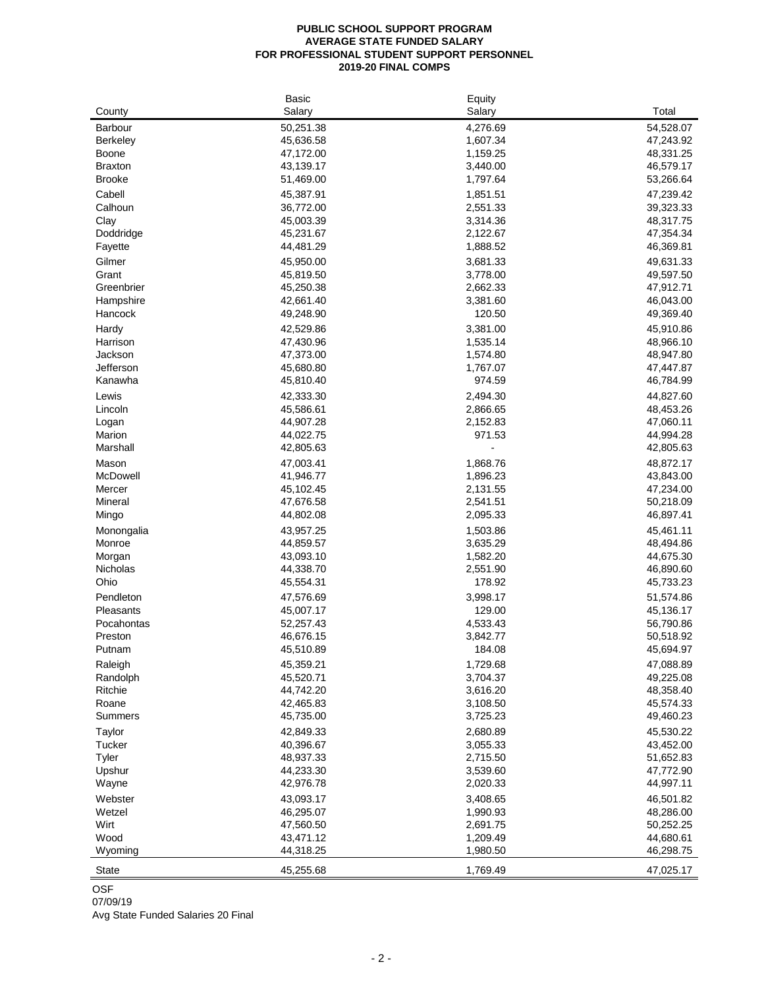#### **PUBLIC SCHOOL SUPPORT PROGRAM AVERAGE STATE FUNDED SALARY FOR PROFESSIONAL STUDENT SUPPORT PERSONNEL 2019-20 FINAL COMPS**

|                 | <b>Basic</b> | Equity   |           |
|-----------------|--------------|----------|-----------|
| County          | Salary       | Salary   | Total     |
| Barbour         | 50,251.38    | 4,276.69 | 54,528.07 |
| <b>Berkeley</b> | 45,636.58    | 1,607.34 | 47,243.92 |
| <b>Boone</b>    | 47,172.00    | 1,159.25 | 48,331.25 |
| <b>Braxton</b>  | 43,139.17    | 3,440.00 | 46,579.17 |
| <b>Brooke</b>   | 51,469.00    | 1,797.64 | 53,266.64 |
| Cabell          | 45,387.91    | 1,851.51 | 47,239.42 |
| Calhoun         | 36,772.00    | 2,551.33 | 39,323.33 |
| Clay            | 45,003.39    | 3,314.36 | 48,317.75 |
| Doddridge       | 45,231.67    | 2,122.67 | 47,354.34 |
| Fayette         | 44,481.29    | 1,888.52 | 46,369.81 |
| Gilmer          | 45,950.00    | 3,681.33 | 49,631.33 |
| Grant           | 45,819.50    | 3,778.00 | 49,597.50 |
| Greenbrier      | 45,250.38    | 2,662.33 | 47,912.71 |
| Hampshire       | 42,661.40    | 3,381.60 | 46,043.00 |
| Hancock         | 49,248.90    | 120.50   | 49,369.40 |
| Hardy           | 42,529.86    | 3,381.00 | 45,910.86 |
| Harrison        | 47,430.96    | 1,535.14 | 48,966.10 |
| Jackson         | 47,373.00    | 1,574.80 | 48,947.80 |
| Jefferson       | 45,680.80    | 1,767.07 | 47,447.87 |
| Kanawha         | 45,810.40    | 974.59   | 46,784.99 |
| Lewis           | 42,333.30    | 2,494.30 | 44,827.60 |
| Lincoln         | 45,586.61    | 2,866.65 | 48,453.26 |
| Logan           | 44,907.28    | 2,152.83 | 47,060.11 |
| Marion          | 44,022.75    | 971.53   | 44,994.28 |
| Marshall        | 42,805.63    |          | 42,805.63 |
| Mason           | 47,003.41    | 1,868.76 | 48,872.17 |
| McDowell        | 41,946.77    | 1,896.23 | 43,843.00 |
| Mercer          | 45,102.45    | 2,131.55 | 47,234.00 |
| Mineral         | 47,676.58    | 2,541.51 | 50,218.09 |
| Mingo           | 44,802.08    | 2,095.33 | 46,897.41 |
| Monongalia      | 43,957.25    | 1,503.86 | 45,461.11 |
| Monroe          | 44,859.57    | 3,635.29 | 48,494.86 |
| Morgan          | 43,093.10    | 1,582.20 | 44,675.30 |
| Nicholas        | 44,338.70    | 2,551.90 | 46,890.60 |
| Ohio            | 45,554.31    | 178.92   | 45,733.23 |
| Pendleton       | 47,576.69    | 3,998.17 | 51,574.86 |
| Pleasants       | 45,007.17    | 129.00   | 45,136.17 |
| Pocahontas      | 52,257.43    | 4,533.43 | 56,790.86 |
| Preston         | 46,676.15    | 3,842.77 | 50,518.92 |
| Putnam          | 45,510.89    | 184.08   | 45,694.97 |
| Raleigh         | 45,359.21    | 1,729.68 | 47,088.89 |
| Randolph        | 45,520.71    | 3,704.37 | 49,225.08 |
| Ritchie         | 44,742.20    | 3,616.20 | 48,358.40 |
| Roane           | 42,465.83    | 3,108.50 | 45,574.33 |
| <b>Summers</b>  | 45,735.00    | 3,725.23 | 49,460.23 |
| Taylor          | 42,849.33    | 2,680.89 | 45,530.22 |
| Tucker          | 40,396.67    | 3,055.33 | 43,452.00 |
| <b>Tyler</b>    | 48,937.33    | 2,715.50 | 51,652.83 |
| Upshur          | 44,233.30    | 3,539.60 | 47,772.90 |
| Wayne           | 42,976.78    | 2,020.33 | 44,997.11 |
| Webster         | 43,093.17    | 3,408.65 | 46,501.82 |
| Wetzel          | 46,295.07    | 1,990.93 | 48,286.00 |
| Wirt            | 47,560.50    | 2,691.75 | 50,252.25 |
| Wood            | 43,471.12    | 1,209.49 | 44,680.61 |
| Wyoming         | 44,318.25    | 1,980.50 | 46,298.75 |
|                 |              |          |           |
| <b>State</b>    | 45,255.68    | 1,769.49 | 47,025.17 |

OSF

07/09/19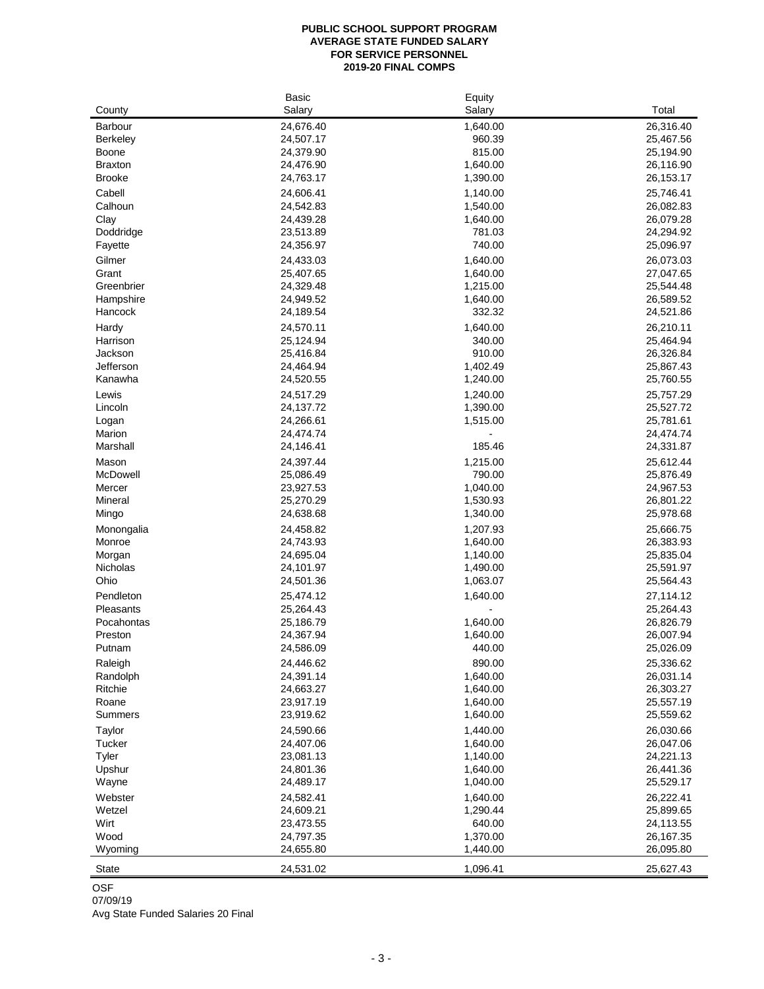## **PUBLIC SCHOOL SUPPORT PROGRAM AVERAGE STATE FUNDED SALARY FOR SERVICE PERSONNEL 2019-20 FINAL COMPS**

|                 | <b>Basic</b>           | Equity   |                        |
|-----------------|------------------------|----------|------------------------|
| County          | Salary                 | Salary   | Total                  |
| <b>Barbour</b>  | 24,676.40              | 1,640.00 | 26,316.40              |
| <b>Berkeley</b> | 24,507.17              | 960.39   | 25,467.56              |
| <b>Boone</b>    | 24,379.90              | 815.00   | 25,194.90              |
| <b>Braxton</b>  | 24,476.90              | 1,640.00 | 26,116.90              |
| <b>Brooke</b>   | 24,763.17              | 1,390.00 | 26, 153. 17            |
| Cabell          | 24,606.41              | 1,140.00 | 25,746.41              |
| Calhoun         | 24,542.83              | 1,540.00 | 26,082.83              |
| Clay            | 24,439.28              | 1,640.00 | 26,079.28              |
| Doddridge       | 23,513.89              | 781.03   | 24,294.92              |
| Fayette         | 24,356.97              | 740.00   | 25,096.97              |
| Gilmer          | 24,433.03              | 1,640.00 | 26,073.03              |
| Grant           | 25,407.65              | 1,640.00 | 27,047.65              |
| Greenbrier      | 24,329.48              | 1,215.00 | 25,544.48              |
| Hampshire       | 24,949.52              | 1,640.00 | 26,589.52              |
| Hancock         | 24,189.54              | 332.32   | 24,521.86              |
| Hardy           | 24,570.11              | 1,640.00 | 26,210.11              |
| Harrison        | 25,124.94              | 340.00   | 25,464.94              |
| Jackson         | 25,416.84              | 910.00   | 26,326.84              |
| Jefferson       | 24,464.94              | 1,402.49 | 25,867.43              |
| Kanawha         | 24,520.55              | 1,240.00 | 25,760.55              |
| Lewis           | 24,517.29              | 1,240.00 | 25,757.29              |
| Lincoln         | 24,137.72              | 1,390.00 | 25,527.72              |
| Logan           | 24,266.61              | 1,515.00 | 25,781.61              |
| Marion          | 24,474.74              |          | 24,474.74              |
| Marshall        | 24,146.41              | 185.46   | 24,331.87              |
| Mason           | 24,397.44              | 1,215.00 | 25,612.44              |
| McDowell        | 25,086.49              | 790.00   | 25,876.49              |
| Mercer          | 23,927.53              | 1,040.00 | 24,967.53              |
| Mineral         | 25,270.29              | 1,530.93 | 26,801.22              |
| Mingo           | 24,638.68              | 1,340.00 | 25,978.68              |
| Monongalia      | 24,458.82              | 1,207.93 | 25,666.75              |
| Monroe          | 24,743.93              | 1,640.00 | 26,383.93              |
| Morgan          | 24,695.04              | 1,140.00 | 25,835.04              |
| Nicholas        | 24,101.97              | 1,490.00 | 25,591.97              |
| Ohio            | 24,501.36              | 1,063.07 | 25,564.43              |
| Pendleton       | 25,474.12              | 1,640.00 | 27,114.12              |
| Pleasants       | 25,264.43              |          | 25,264.43              |
| Pocahontas      | 25,186.79              | 1,640.00 | 26,826.79              |
| Preston         | 24,367.94              | 1,640.00 | 26,007.94              |
| Putnam          | 24,586.09              | 440.00   | 25,026.09              |
| Raleigh         | 24,446.62              | 890.00   | 25,336.62              |
| Randolph        | 24,391.14              | 1,640.00 | 26,031.14              |
| Ritchie         | 24,663.27              | 1,640.00 | 26,303.27              |
| Roane           | 23,917.19              | 1,640.00 | 25,557.19              |
| <b>Summers</b>  | 23,919.62              | 1,640.00 | 25,559.62              |
| Taylor          | 24,590.66              | 1,440.00 | 26,030.66              |
| <b>Tucker</b>   | 24,407.06              | 1,640.00 | 26,047.06              |
| <b>Tyler</b>    | 23,081.13              | 1,140.00 | 24,221.13              |
| Upshur          | 24,801.36              | 1,640.00 | 26,441.36              |
| Wayne           | 24,489.17              | 1,040.00 | 25,529.17              |
| Webster         |                        | 1,640.00 |                        |
| Wetzel          | 24,582.41<br>24,609.21 | 1,290.44 | 26,222.41<br>25,899.65 |
| Wirt            | 23,473.55              | 640.00   | 24,113.55              |
| Wood            | 24,797.35              | 1,370.00 | 26,167.35              |
| Wyoming         | 24,655.80              | 1,440.00 | 26,095.80              |
|                 |                        |          |                        |
| <b>State</b>    | 24,531.02              | 1,096.41 | 25,627.43              |

OSF

07/09/19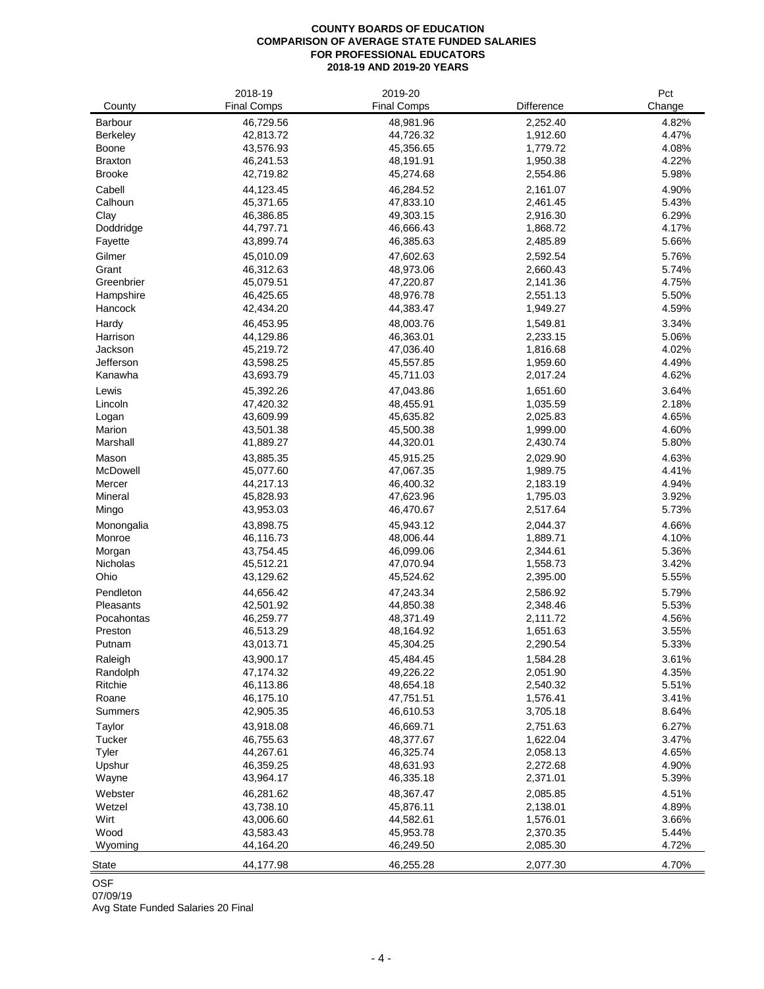# **COUNTY BOARDS OF EDUCATION COMPARISON OF AVERAGE STATE FUNDED SALARIES FOR PROFESSIONAL EDUCATORS 2018-19 AND 2019-20 YEARS**

| County             | 2018-19<br><b>Final Comps</b> | 2019-20<br><b>Final Comps</b> | <b>Difference</b>    | Pct<br>Change  |
|--------------------|-------------------------------|-------------------------------|----------------------|----------------|
| <b>Barbour</b>     | 46,729.56                     | 48,981.96                     | 2,252.40             | 4.82%          |
| <b>Berkeley</b>    | 42,813.72                     | 44,726.32                     | 1,912.60             | 4.47%          |
| <b>Boone</b>       | 43,576.93                     | 45,356.65                     | 1,779.72             | 4.08%          |
| <b>Braxton</b>     | 46,241.53                     | 48,191.91                     | 1,950.38             | 4.22%          |
| <b>Brooke</b>      | 42,719.82                     | 45,274.68                     | 2,554.86             | 5.98%          |
| Cabell             | 44,123.45                     | 46,284.52                     | 2,161.07             | 4.90%          |
| Calhoun            | 45,371.65                     | 47,833.10                     | 2,461.45             | 5.43%          |
| Clay               | 46,386.85                     | 49,303.15                     | 2,916.30             | 6.29%          |
| Doddridge          | 44,797.71                     | 46,666.43                     | 1,868.72             | 4.17%          |
| Fayette            | 43,899.74                     | 46,385.63                     | 2,485.89             | 5.66%          |
| Gilmer             | 45,010.09                     | 47,602.63                     | 2,592.54             | 5.76%          |
| Grant              | 46,312.63                     | 48,973.06                     | 2,660.43             | 5.74%          |
| Greenbrier         | 45,079.51                     | 47,220.87                     | 2,141.36             | 4.75%          |
| Hampshire          | 46,425.65                     | 48,976.78                     | 2,551.13             | 5.50%          |
| Hancock            | 42,434.20                     | 44,383.47                     | 1,949.27             | 4.59%          |
| Hardy              | 46,453.95                     | 48,003.76                     | 1,549.81             | 3.34%          |
| Harrison           | 44,129.86                     | 46,363.01                     | 2,233.15             | 5.06%          |
| Jackson            | 45,219.72                     | 47,036.40                     | 1,816.68             | 4.02%          |
| Jefferson          | 43,598.25                     | 45,557.85                     | 1,959.60             | 4.49%          |
| Kanawha            | 43,693.79                     | 45,711.03                     | 2,017.24             | 4.62%          |
| Lewis              | 45,392.26                     | 47,043.86                     | 1,651.60             | 3.64%          |
| Lincoln            | 47,420.32                     | 48,455.91                     | 1,035.59             | 2.18%          |
| Logan              | 43,609.99                     | 45,635.82                     | 2,025.83             | 4.65%          |
| Marion             | 43,501.38                     | 45,500.38                     | 1,999.00             | 4.60%          |
| Marshall           | 41,889.27                     | 44,320.01                     | 2,430.74             | 5.80%          |
| Mason              | 43,885.35                     | 45,915.25                     | 2,029.90             | 4.63%          |
| McDowell<br>Mercer | 45,077.60<br>44,217.13        | 47,067.35<br>46,400.32        | 1,989.75<br>2,183.19 | 4.41%<br>4.94% |
| Mineral            | 45,828.93                     | 47,623.96                     | 1,795.03             | 3.92%          |
| Mingo              | 43,953.03                     | 46,470.67                     | 2,517.64             | 5.73%          |
| Monongalia         | 43,898.75                     | 45,943.12                     | 2,044.37             | 4.66%          |
| Monroe             | 46,116.73                     | 48,006.44                     | 1,889.71             | 4.10%          |
| Morgan             | 43,754.45                     | 46,099.06                     | 2,344.61             | 5.36%          |
| Nicholas           | 45,512.21                     | 47,070.94                     | 1,558.73             | 3.42%          |
| Ohio               | 43,129.62                     | 45,524.62                     | 2,395.00             | 5.55%          |
| Pendleton          | 44,656.42                     | 47,243.34                     | 2,586.92             | 5.79%          |
| <b>Pleasants</b>   | 42,501.92                     | 44,850.38                     | 2,348.46             | 5.53%          |
| Pocahontas         | 46,259.77                     | 48,371.49                     | 2,111.72             | 4.56%          |
| Preston            | 46,513.29                     | 48,164.92                     | 1,651.63             | 3.55%          |
| Putnam             | 43,013.71                     | 45,304.25                     | 2,290.54             | 5.33%          |
| Raleigh            | 43,900.17                     | 45,484.45                     | 1,584.28             | 3.61%          |
| Randolph           | 47,174.32                     | 49,226.22                     | 2,051.90             | 4.35%          |
| Ritchie            | 46,113.86                     | 48,654.18                     | 2,540.32             | 5.51%          |
| Roane              | 46,175.10                     | 47,751.51                     | 1,576.41             | 3.41%          |
| <b>Summers</b>     | 42,905.35                     | 46,610.53                     | 3,705.18             | 8.64%          |
| Taylor             | 43,918.08                     | 46,669.71                     | 2,751.63             | 6.27%          |
| Tucker             | 46,755.63                     | 48,377.67                     | 1,622.04             | 3.47%          |
| Tyler              | 44,267.61                     | 46,325.74                     | 2,058.13             | 4.65%          |
| Upshur             | 46,359.25<br>43,964.17        | 48,631.93<br>46,335.18        | 2,272.68             | 4.90%<br>5.39% |
| Wayne              |                               |                               | 2,371.01             |                |
| Webster<br>Wetzel  | 46,281.62                     | 48,367.47                     | 2,085.85             | 4.51%<br>4.89% |
| Wirt               | 43,738.10<br>43,006.60        | 45,876.11<br>44,582.61        | 2,138.01<br>1,576.01 | 3.66%          |
| Wood               | 43,583.43                     | 45,953.78                     | 2,370.35             | 5.44%          |
| Wyoming            | 44,164.20                     | 46,249.50                     | 2,085.30             | 4.72%          |
|                    |                               |                               |                      |                |
| <b>State</b>       | 44,177.98                     | 46,255.28                     | 2,077.30             | 4.70%          |

OSF

07/09/19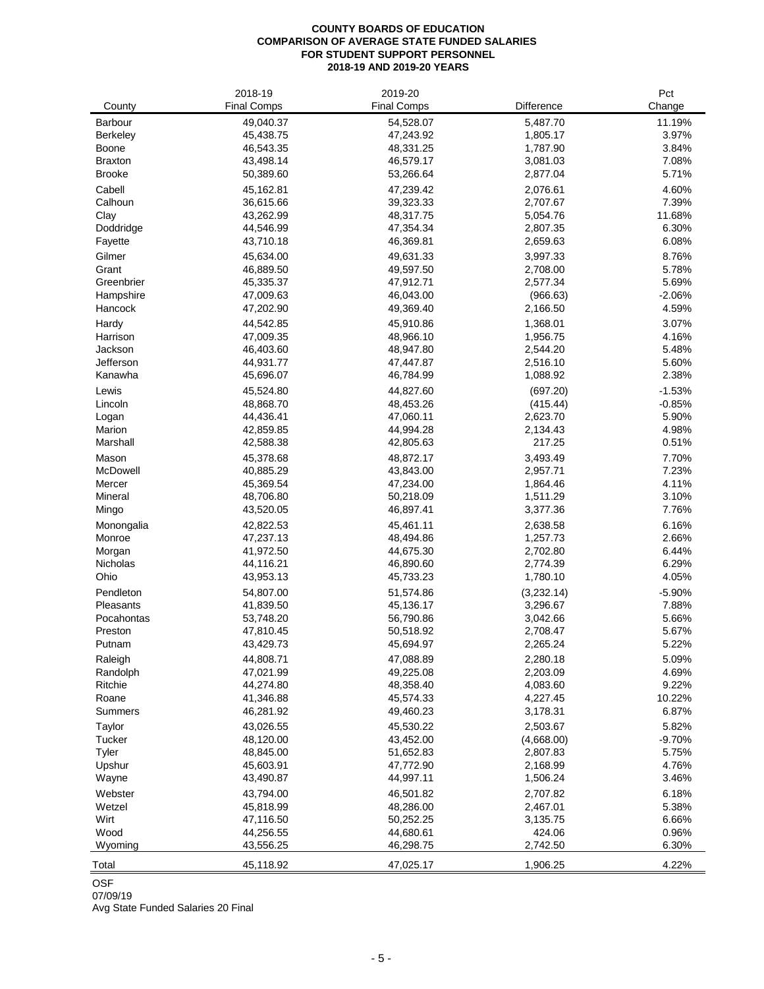# **COUNTY BOARDS OF EDUCATION COMPARISON OF AVERAGE STATE FUNDED SALARIES FOR STUDENT SUPPORT PERSONNEL 2018-19 AND 2019-20 YEARS**

| County                  | 2018-19<br><b>Final Comps</b> | 2019-20<br><b>Final Comps</b> | Difference           | Pct<br>Change  |
|-------------------------|-------------------------------|-------------------------------|----------------------|----------------|
| Barbour                 | 49,040.37                     | 54,528.07                     | 5,487.70             | 11.19%         |
| <b>Berkeley</b>         | 45,438.75                     | 47,243.92                     | 1,805.17             | 3.97%          |
| <b>Boone</b>            | 46,543.35                     | 48,331.25                     | 1,787.90             | 3.84%          |
| <b>Braxton</b>          | 43,498.14                     | 46,579.17                     | 3,081.03             | 7.08%          |
| <b>Brooke</b>           | 50,389.60                     | 53,266.64                     | 2,877.04             | 5.71%          |
| Cabell                  | 45,162.81                     | 47,239.42                     | 2,076.61             | 4.60%          |
| Calhoun                 | 36,615.66                     | 39,323.33                     | 2,707.67             | 7.39%          |
| Clay                    | 43,262.99                     | 48,317.75                     | 5,054.76             | 11.68%         |
| Doddridge               | 44,546.99                     | 47,354.34                     | 2,807.35             | 6.30%          |
| Fayette                 | 43,710.18                     | 46,369.81                     | 2,659.63             | 6.08%          |
| Gilmer                  | 45,634.00                     | 49,631.33                     | 3,997.33             | 8.76%          |
| Grant                   | 46,889.50                     | 49,597.50                     | 2,708.00             | 5.78%          |
| Greenbrier              | 45,335.37                     | 47,912.71                     | 2,577.34             | 5.69%          |
| Hampshire               | 47,009.63                     | 46,043.00                     | (966.63)             | $-2.06%$       |
| Hancock                 | 47,202.90                     | 49,369.40                     | 2,166.50             | 4.59%          |
| Hardy                   | 44,542.85                     | 45,910.86                     | 1,368.01             | 3.07%          |
| Harrison                | 47,009.35                     | 48,966.10                     | 1,956.75             | 4.16%          |
| Jackson                 | 46,403.60                     | 48,947.80                     | 2,544.20             | 5.48%          |
| Jefferson               | 44,931.77                     | 47,447.87                     | 2,516.10             | 5.60%          |
| Kanawha                 | 45,696.07                     | 46,784.99                     | 1,088.92             | 2.38%          |
| Lewis                   | 45,524.80                     | 44,827.60                     | (697.20)             | $-1.53%$       |
| Lincoln                 | 48,868.70                     | 48,453.26                     | (415.44)             | $-0.85%$       |
| Logan                   | 44,436.41                     | 47,060.11                     | 2,623.70             | 5.90%          |
| Marion                  | 42,859.85                     | 44,994.28                     | 2,134.43             | 4.98%          |
| Marshall                | 42,588.38                     | 42,805.63                     | 217.25               | 0.51%          |
| Mason                   | 45,378.68                     | 48,872.17                     | 3,493.49             | 7.70%          |
| McDowell                | 40,885.29                     | 43,843.00                     | 2,957.71             | 7.23%          |
| Mercer                  | 45,369.54                     | 47,234.00                     | 1,864.46             | 4.11%          |
| Mineral                 | 48,706.80                     | 50,218.09                     | 1,511.29             | 3.10%          |
| Mingo                   | 43,520.05                     | 46,897.41                     | 3,377.36             | 7.76%          |
| Monongalia              | 42,822.53                     | 45,461.11                     | 2,638.58             | 6.16%          |
| Monroe                  | 47,237.13                     | 48,494.86                     | 1,257.73             | 2.66%          |
| Morgan                  | 41,972.50                     | 44,675.30                     | 2,702.80             | 6.44%          |
| Nicholas<br>Ohio        | 44,116.21<br>43,953.13        | 46,890.60<br>45,733.23        | 2,774.39<br>1,780.10 | 6.29%<br>4.05% |
|                         |                               |                               |                      |                |
| Pendleton               | 54,807.00                     | 51,574.86                     | (3,232.14)           | $-5.90%$       |
| Pleasants<br>Pocahontas | 41,839.50                     | 45,136.17                     | 3,296.67<br>3,042.66 | 7.88%<br>5.66% |
| Preston                 | 53,748.20<br>47,810.45        | 56,790.86<br>50,518.92        | 2,708.47             | 5.67%          |
| Putnam                  | 43,429.73                     | 45,694.97                     | 2,265.24             | 5.22%          |
| Raleigh                 | 44,808.71                     | 47,088.89                     | 2,280.18             | 5.09%          |
| Randolph                | 47,021.99                     | 49,225.08                     | 2,203.09             | 4.69%          |
| Ritchie                 | 44,274.80                     | 48,358.40                     | 4,083.60             | 9.22%          |
| Roane                   | 41,346.88                     | 45,574.33                     | 4,227.45             | 10.22%         |
| <b>Summers</b>          | 46,281.92                     | 49,460.23                     | 3,178.31             | 6.87%          |
| Taylor                  | 43,026.55                     | 45,530.22                     | 2,503.67             | 5.82%          |
| Tucker                  | 48,120.00                     | 43,452.00                     | (4,668.00)           | $-9.70%$       |
| <b>Tyler</b>            | 48,845.00                     | 51,652.83                     | 2,807.83             | 5.75%          |
| Upshur                  | 45,603.91                     | 47,772.90                     | 2,168.99             | 4.76%          |
| Wayne                   | 43,490.87                     | 44,997.11                     | 1,506.24             | 3.46%          |
| Webster                 | 43,794.00                     | 46,501.82                     | 2,707.82             | 6.18%          |
| Wetzel                  | 45,818.99                     | 48,286.00                     | 2,467.01             | 5.38%          |
| Wirt                    | 47,116.50                     | 50,252.25                     | 3,135.75             | 6.66%          |
| Wood                    | 44,256.55                     | 44,680.61                     | 424.06               | 0.96%          |
| Wyoming                 | 43,556.25                     | 46,298.75                     | 2,742.50             | 6.30%          |
| Total                   | 45,118.92                     | 47,025.17                     | 1,906.25             | 4.22%          |

OSF

07/09/19